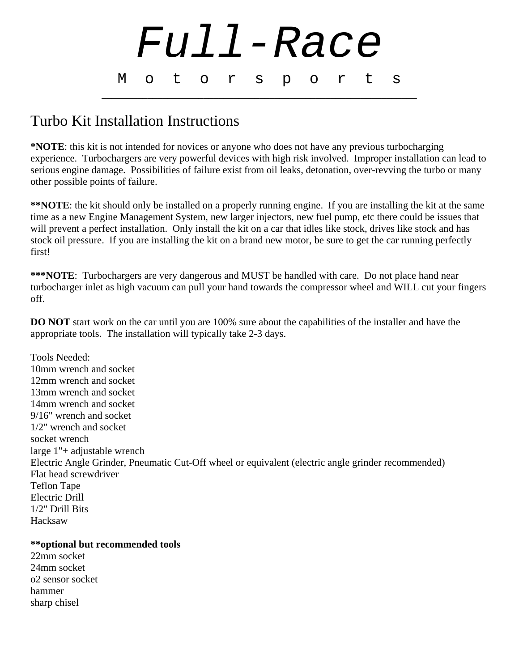

## Turbo Kit Installation Instructions

**\*NOTE**: this kit is not intended for novices or anyone who does not have any previous turbocharging experience. Turbochargers are very powerful devices with high risk involved. Improper installation can lead to serious engine damage. Possibilities of failure exist from oil leaks, detonation, over-revving the turbo or many other possible points of failure.

**\*\*NOTE**: the kit should only be installed on a properly running engine. If you are installing the kit at the same time as a new Engine Management System, new larger injectors, new fuel pump, etc there could be issues that will prevent a perfect installation. Only install the kit on a car that idles like stock, drives like stock and has stock oil pressure. If you are installing the kit on a brand new motor, be sure to get the car running perfectly first!

**\*\*\*NOTE**: Turbochargers are very dangerous and MUST be handled with care. Do not place hand near turbocharger inlet as high vacuum can pull your hand towards the compressor wheel and WILL cut your fingers off.

**DO NOT** start work on the car until you are 100% sure about the capabilities of the installer and have the appropriate tools. The installation will typically take 2-3 days.

Tools Needed: 10mm wrench and socket 12mm wrench and socket 13mm wrench and socket 14mm wrench and socket 9/16" wrench and socket 1/2" wrench and socket socket wrench large 1"+ adjustable wrench Electric Angle Grinder, Pneumatic Cut-Off wheel or equivalent (electric angle grinder recommended) Flat head screwdriver Teflon Tape Electric Drill 1/2" Drill Bits Hacksaw

## **\*\*optional but recommended tools**

22mm socket 24mm socket o2 sensor socket hammer sharp chisel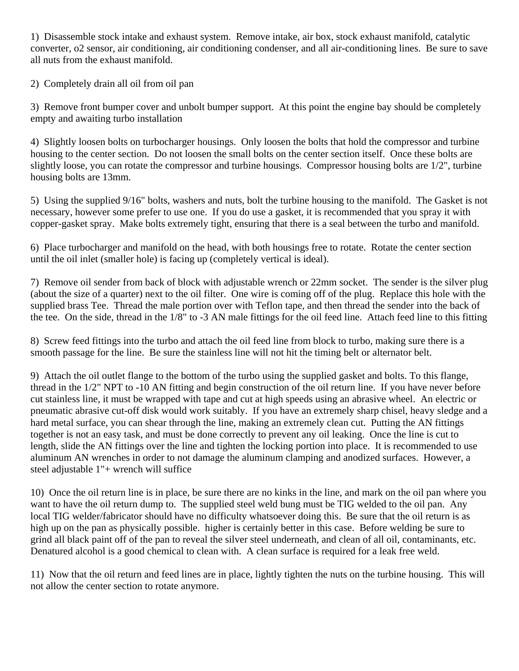1) Disassemble stock intake and exhaust system. Remove intake, air box, stock exhaust manifold, catalytic converter, o2 sensor, air conditioning, air conditioning condenser, and all air-conditioning lines. Be sure to save all nuts from the exhaust manifold.

2) Completely drain all oil from oil pan

3) Remove front bumper cover and unbolt bumper support. At this point the engine bay should be completely empty and awaiting turbo installation

4) Slightly loosen bolts on turbocharger housings. Only loosen the bolts that hold the compressor and turbine housing to the center section. Do not loosen the small bolts on the center section itself. Once these bolts are slightly loose, you can rotate the compressor and turbine housings. Compressor housing bolts are 1/2", turbine housing bolts are 13mm.

5) Using the supplied 9/16" bolts, washers and nuts, bolt the turbine housing to the manifold. The Gasket is not necessary, however some prefer to use one. If you do use a gasket, it is recommended that you spray it with copper-gasket spray. Make bolts extremely tight, ensuring that there is a seal between the turbo and manifold.

6) Place turbocharger and manifold on the head, with both housings free to rotate. Rotate the center section until the oil inlet (smaller hole) is facing up (completely vertical is ideal).

7) Remove oil sender from back of block with adjustable wrench or 22mm socket. The sender is the silver plug (about the size of a quarter) next to the oil filter. One wire is coming off of the plug. Replace this hole with the supplied brass Tee. Thread the male portion over with Teflon tape, and then thread the sender into the back of the tee. On the side, thread in the 1/8" to -3 AN male fittings for the oil feed line. Attach feed line to this fitting

8) Screw feed fittings into the turbo and attach the oil feed line from block to turbo, making sure there is a smooth passage for the line. Be sure the stainless line will not hit the timing belt or alternator belt.

9) Attach the oil outlet flange to the bottom of the turbo using the supplied gasket and bolts. To this flange, thread in the 1/2" NPT to -10 AN fitting and begin construction of the oil return line. If you have never before cut stainless line, it must be wrapped with tape and cut at high speeds using an abrasive wheel. An electric or pneumatic abrasive cut-off disk would work suitably. If you have an extremely sharp chisel, heavy sledge and a hard metal surface, you can shear through the line, making an extremely clean cut. Putting the AN fittings together is not an easy task, and must be done correctly to prevent any oil leaking. Once the line is cut to length, slide the AN fittings over the line and tighten the locking portion into place. It is recommended to use aluminum AN wrenches in order to not damage the aluminum clamping and anodized surfaces. However, a steel adjustable 1"+ wrench will suffice

10) Once the oil return line is in place, be sure there are no kinks in the line, and mark on the oil pan where you want to have the oil return dump to. The supplied steel weld bung must be TIG welded to the oil pan. Any local TIG welder/fabricator should have no difficulty whatsoever doing this. Be sure that the oil return is as high up on the pan as physically possible. higher is certainly better in this case. Before welding be sure to grind all black paint off of the pan to reveal the silver steel underneath, and clean of all oil, contaminants, etc. Denatured alcohol is a good chemical to clean with. A clean surface is required for a leak free weld.

11) Now that the oil return and feed lines are in place, lightly tighten the nuts on the turbine housing. This will not allow the center section to rotate anymore.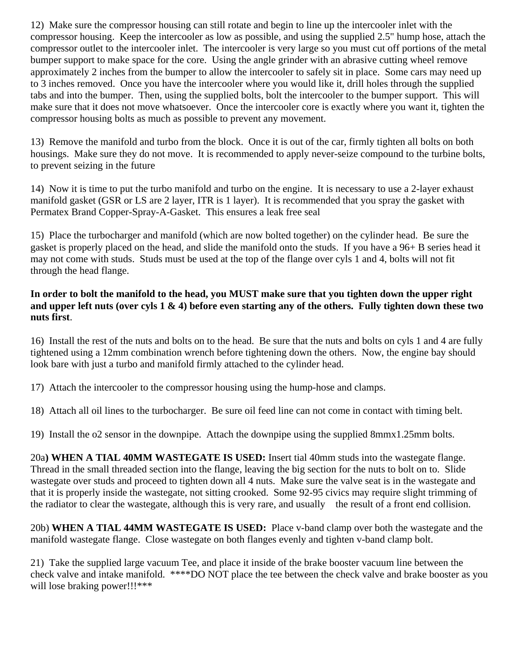12) Make sure the compressor housing can still rotate and begin to line up the intercooler inlet with the compressor housing. Keep the intercooler as low as possible, and using the supplied 2.5" hump hose, attach the compressor outlet to the intercooler inlet. The intercooler is very large so you must cut off portions of the metal bumper support to make space for the core. Using the angle grinder with an abrasive cutting wheel remove approximately 2 inches from the bumper to allow the intercooler to safely sit in place. Some cars may need up to 3 inches removed. Once you have the intercooler where you would like it, drill holes through the supplied tabs and into the bumper. Then, using the supplied bolts, bolt the intercooler to the bumper support. This will make sure that it does not move whatsoever. Once the intercooler core is exactly where you want it, tighten the compressor housing bolts as much as possible to prevent any movement.

13) Remove the manifold and turbo from the block. Once it is out of the car, firmly tighten all bolts on both housings. Make sure they do not move. It is recommended to apply never-seize compound to the turbine bolts, to prevent seizing in the future

14) Now it is time to put the turbo manifold and turbo on the engine. It is necessary to use a 2-layer exhaust manifold gasket (GSR or LS are 2 layer, ITR is 1 layer). It is recommended that you spray the gasket with Permatex Brand Copper-Spray-A-Gasket. This ensures a leak free seal

15) Place the turbocharger and manifold (which are now bolted together) on the cylinder head. Be sure the gasket is properly placed on the head, and slide the manifold onto the studs. If you have a 96+ B series head it may not come with studs. Studs must be used at the top of the flange over cyls 1 and 4, bolts will not fit through the head flange.

## **In order to bolt the manifold to the head, you MUST make sure that you tighten down the upper right and upper left nuts (over cyls 1 & 4) before even starting any of the others. Fully tighten down these two nuts first**.

16) Install the rest of the nuts and bolts on to the head. Be sure that the nuts and bolts on cyls 1 and 4 are fully tightened using a 12mm combination wrench before tightening down the others. Now, the engine bay should look bare with just a turbo and manifold firmly attached to the cylinder head.

17) Attach the intercooler to the compressor housing using the hump-hose and clamps.

18) Attach all oil lines to the turbocharger. Be sure oil feed line can not come in contact with timing belt.

19) Install the o2 sensor in the downpipe. Attach the downpipe using the supplied 8mmx1.25mm bolts.

20a**) WHEN A TIAL 40MM WASTEGATE IS USED:** Insert tial 40mm studs into the wastegate flange. Thread in the small threaded section into the flange, leaving the big section for the nuts to bolt on to. Slide wastegate over studs and proceed to tighten down all 4 nuts. Make sure the valve seat is in the wastegate and that it is properly inside the wastegate, not sitting crooked. Some 92-95 civics may require slight trimming of the radiator to clear the wastegate, although this is very rare, and usually the result of a front end collision.

20b) **WHEN A TIAL 44MM WASTEGATE IS USED:** Place v-band clamp over both the wastegate and the manifold wastegate flange. Close wastegate on both flanges evenly and tighten v-band clamp bolt.

21) Take the supplied large vacuum Tee, and place it inside of the brake booster vacuum line between the check valve and intake manifold. \*\*\*\*DO NOT place the tee between the check valve and brake booster as you will lose braking power!!!\*\*\*